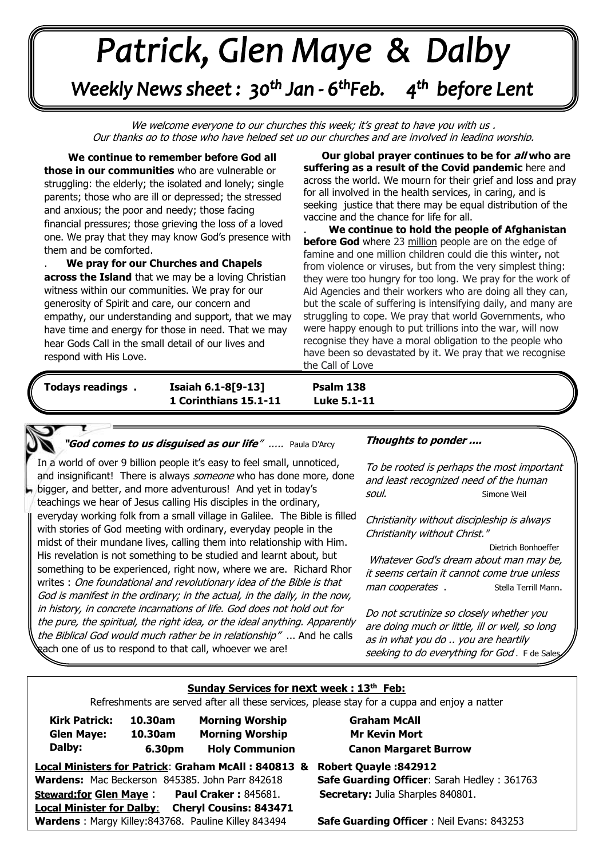# +v++++ -\*\*\*\*\*

Weekly News sheet: 30<sup>th</sup> Jan - 6<sup>th</sup>Feb. 4<sup>th</sup> before Lent

We welcome everyone to our churches this week; it's great to have you with us . Our thanks go to those who have helped set up our churches and are involved in leading worship.

 **We continue to remember before God all those in our communities** who are vulnerable or struggling: the elderly; the isolated and lonely; single parents; those who are ill or depressed; the stressed and anxious; the poor and needy; those facing financial pressures; those grieving the loss of a loved one. We pray that they may know God's presence with them and be comforted.

**across the Island** that we may be a loving Christian<br>witness within our communities. We pray for our generosity of Spirit and care, our concern and empathy, our understanding and support, that we may<br>have time and energy for those in need. That we may . **We pray for our Churches and Chapels**  witness within our communities. We pray for our have time and energy for those in need. That we may hear Gods Call in the small detail of our lives and respond with His Love.

. **Our global prayer continues to be for all who are suffering as a result of the Covid pandemic** here and across the world. We mourn for their grief and loss and pray for all involved in the health services, in caring, and is seeking justice that there may be equal distribution of the vaccine and the chance for life for all.

. **We continue to hold the people of Afghanistan before God** where 23 million people are on the edge of famine and one million children could die this winter**,** not from violence or viruses, but from the very simplest thing: they were too hungry for too long. We pray for the work of Aid Agencies and their workers who are doing all they can, but the scale of suffering is intensifying daily, and many are struggling to cope. We pray that world Governments, who were happy enough to put trillions into the war, will now recognise they have a moral obligation to the people who have been so devastated by it. We pray that we recognise the Call of Love

*June: Trinity Sunday*  **1 Corinthians 15.1-11 Luke 5.1-11 Todays readings . Isaiah 6.1-8[9-13] Psalm 138**

Luke 5.1-11

#### **"God come<sup>s</sup> to us disguised as our life**" ..... Paula D'Arcy

 In a world of over 9 billion people it's easy to feel small, unnoticed,  bigger, and better, and more adventurous! And yet in today's  with stories of God meeting with ordinary, everyday people in the  midst of their mundane lives, calling them into relationship with Him. and insignificant! There is always someone who has done more, done teachings we hear of Jesus calling His disciples in the ordinary, everyday working folk from a small village in Galilee. The Bible is filled His revelation is not something to be studied and learnt about, but something to be experienced, right now, where we are. Richard Rhor writes : One foundational and revolutionary idea of the Bible is that God is manifest in the ordinary; in the actual, in the daily, in the now, in history, in concrete incarnations of life. God does not hold out for the pure, the spiritual, the right idea, or the ideal anything. Apparently the Biblical God would much rather be in relationship" ... And he calls gach one of us to respond to that call, whoever we are!

## **Thoughts to ponder ....**

To be rooted is perhaps the most important and least recognized need of the human soul. Simone Weil

Christianity without discipleship is always Christianity without Christ."

. Dietrich Bonhoeffer Whatever God's dream about man may be, it seems certain it cannot come true unless man cooperates . Stella Terrill Mann.

Do not scrutinize so closely whether you are doing much or little, ill or well, so long as in what you do .. you are heartily seeking to do everything for God. F de Sale

#### **Sunday Services for next week : 13th Feb:**

Refreshments are served after all these services, please stay for a cuppa and enjoy a natter

| <b>Kirk Patrick:</b><br><b>Glen Maye:</b><br>Dalby: | 10.30am<br>10.30am<br>6.30pm | <b>Morning Worship</b><br><b>Morning Worship</b><br><b>Holy Communion</b> |  |
|-----------------------------------------------------|------------------------------|---------------------------------------------------------------------------|--|
| Local Ministers for Patrick: Graham McAll: 840813 8 |                              |                                                                           |  |
| Wardens: Mac Beckerson 845385. John Parr 842618     |                              |                                                                           |  |
| <b>Steward:for Glen Maye:</b>                       |                              | <b>Paul Craker: 845681.</b>                                               |  |
| <b>Local Minister for Dalby:</b>                    |                              | <b>Cheryl Cousins: 843471</b>                                             |  |
|                                                     |                              | Wardens: Margy Killey:843768. Pauline Killey 843494                       |  |

**Graham McAll Mr Kevin Mort . . 6.30pm Holy Communion Canon Margaret Burrow**

## **Local Ministers for Patrick**: **Graham McAll : 840813 & Robert Quayle :842912**

.

**Safe Guarding Officer: Sarah Hedley : 361763 Secretary:** Julia Sharples 840801.

**Safe Guarding Officer** : Neil Evans: 843253